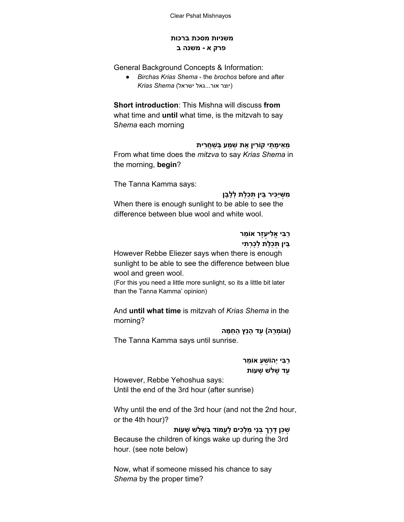### **משניות מסכת ברכות פרק א משנה ב**

General Background Concepts & Information:

● *Birchas Krias Shema* the *brochos* before and after (יוצר אור...גאל ישראל) *Shema Krias*

**Short introduction**: This Mishna will discuss **from** what time and **until** what time, is the mitzvah to say S*hema* each morning

#### **ֵמֵאיָמ ַתי קוִֹרין ֶאת ְשׁ ַמע ְבּ ַשׁ ֲחִרית**

From what time does the *mitzva* to say *Krias Shema* in the morning, **begin**?

The Tanna Kamma says:

## **ִמ ֶשּׁיִַּכּיר ֵבּין ְתֵּכֶלת ְלָלָבן**

When there is enough sunlight to be able to see the difference between blue wool and white wool.

# **ֶעֶזר אוֵֹמר ַרִבּי ֱאִלי ֵבּין ְתֵּכֶלת ְלַכְר ִתי**

However Rebbe Eliezer says when there is enough sunlight to be able to see the difference between blue wool and green wool.

(For this you need a little more sunlight, so its a little bit later than the Tanna Kamma' opinion)

And **until what time** is mitzvah of *Krias Shema* in the morning?

**(וְגוְֹמָרהּ) ַעד ָהנֵץ ַהַח ָמּה**

The Tanna Kamma says until sunrise.

# **ַרִבּי יְהוֹ ֻשַׁע אוֵֹמר ַעד ָשׁלֹשׁ ָשׁעוֹת**

However, Rebbe Yehoshua says: Until the end of the 3rd hour (after sunrise)

Why until the end of the 3rd hour (and not the 2nd hour, or the 4th hour)?

**ֶשֵׁכּן ֶדֶּרךְ ְבּנֵי ְמָלִכים ַלֲעמוֹד ְבּ ָשׁלֹשׁ ָשׁעוֹת** Because the children of kings wake up during the 3rd hour. (see note below)

Now, what if someone missed his chance to say *Shema* by the proper time?